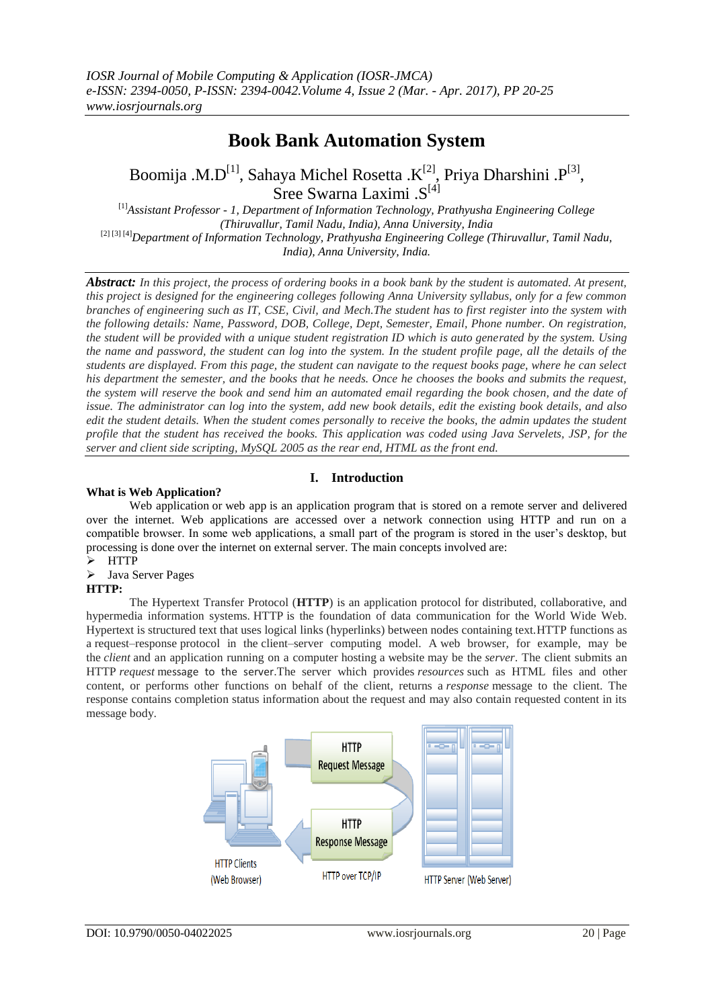# **Book Bank Automation System**

Boomija .M.D<sup>[1]</sup>, Sahaya Michel Rosetta .K<sup>[2]</sup>, Priya Dharshini .P<sup>[3]</sup>, Sree Swarna Laximi .S<sup>[4]</sup>

[1]*Assistant Professor - 1, Department of Information Technology, Prathyusha Engineering College (Thiruvallur, Tamil Nadu, India), Anna University, India* [2] [3] [4]*Department of Information Technology, Prathyusha Engineering College (Thiruvallur, Tamil Nadu, India), Anna University, India.*

*Abstract: In this project, the process of ordering books in a book bank by the student is automated. At present, this project is designed for the engineering colleges following Anna University syllabus, only for a few common branches of engineering such as IT, CSE, Civil, and Mech.The student has to first register into the system with the following details: Name, Password, DOB, College, Dept, Semester, Email, Phone number. On registration, the student will be provided with a unique student registration ID which is auto generated by the system. Using the name and password, the student can log into the system. In the student profile page, all the details of the students are displayed. From this page, the student can navigate to the request books page, where he can select his department the semester, and the books that he needs. Once he chooses the books and submits the request, the system will reserve the book and send him an automated email regarding the book chosen, and the date of issue. The administrator can log into the system, add new book details, edit the existing book details, and also edit the student details. When the student comes personally to receive the books, the admin updates the student profile that the student has received the books. This application was coded using Java Servelets, JSP, for the server and client side scripting, MySQL 2005 as the rear end, HTML as the front end.*

# **I. Introduction**

## **What is Web Application?**

Web application or web app is an application program that is stored on a remote server and delivered over the internet. Web applications are accessed over a network connection using HTTP and run on a compatible browser. In some web applications, a small part of the program is stored in the user's desktop, but processing is done over the internet on external server. The main concepts involved are:

- HTTP
- Java Server Pages

## **HTTP:**

The Hypertext Transfer Protocol (**HTTP**) is an application protocol for distributed, collaborative, and hypermedia information systems. HTTP is the foundation of data communication for the World Wide Web. Hypertext is structured text that uses logical links (hyperlinks) between nodes containing text.HTTP functions as a request–response protocol in the client–server computing model. A web browser, for example, may be the *client* and an application running on a computer hosting a website may be the *server*. The client submits an HTTP *request* message to the server.The server which provides *resources* such as HTML files and other content, or performs other functions on behalf of the client, returns a *response* message to the client. The response contains completion status information about the request and may also contain requested content in its message body.

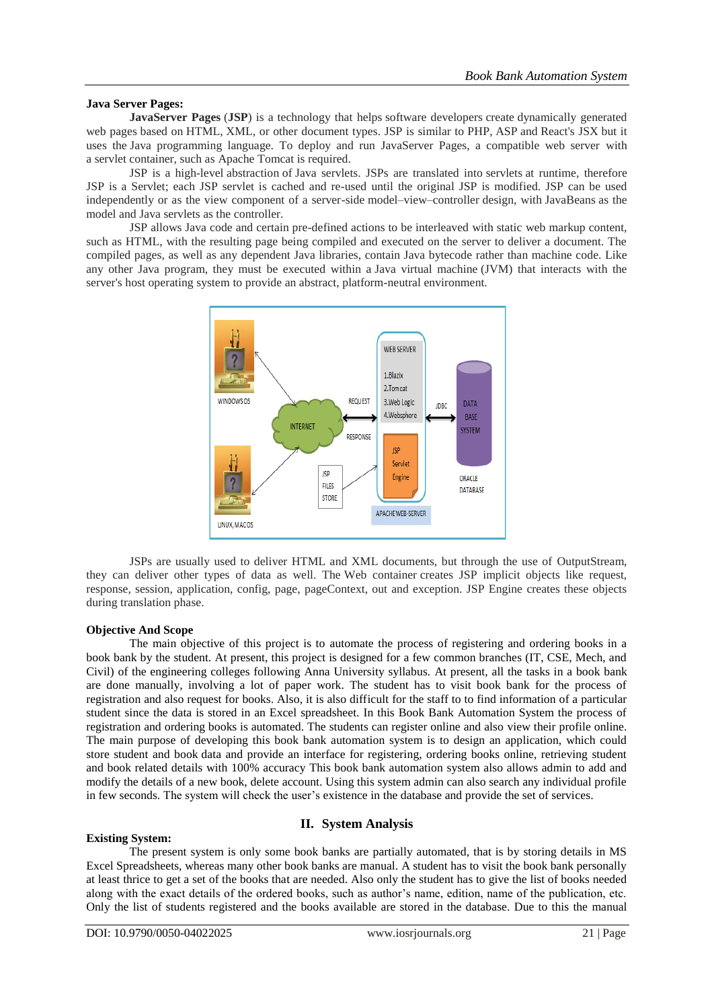## **Java Server Pages:**

**JavaServer Pages** (**JSP**) is a technology that helps software developers create dynamically generated web pages based on HTML, XML, or other document types. JSP is similar to PHP, ASP and React's JSX but it uses the Java programming language. To deploy and run JavaServer Pages, a compatible web server with a servlet container, such as Apache Tomcat is required.

JSP is a high-level abstraction of Java servlets. JSPs are translated into servlets at runtime, therefore JSP is a Servlet; each JSP servlet is cached and re-used until the original JSP is modified. JSP can be used independently or as the view component of a server-side model–view–controller design, with JavaBeans as the model and Java servlets as the controller.

JSP allows Java code and certain pre-defined actions to be interleaved with static web markup content, such as HTML, with the resulting page being compiled and executed on the server to deliver a document. The compiled pages, as well as any dependent Java libraries, contain Java bytecode rather than machine code. Like any other Java program, they must be executed within a Java virtual machine (JVM) that interacts with the server's host operating system to provide an abstract, platform-neutral environment.



JSPs are usually used to deliver HTML and XML documents, but through the use of OutputStream, they can deliver other types of data as well. The Web container creates JSP implicit objects like request, response, session, application, config, page, pageContext, out and exception. JSP Engine creates these objects during translation phase.

## **Objective And Scope**

The main objective of this project is to automate the process of registering and ordering books in a book bank by the student. At present, this project is designed for a few common branches (IT, CSE, Mech, and Civil) of the engineering colleges following Anna University syllabus. At present, all the tasks in a book bank are done manually, involving a lot of paper work. The student has to visit book bank for the process of registration and also request for books. Also, it is also difficult for the staff to to find information of a particular student since the data is stored in an Excel spreadsheet. In this Book Bank Automation System the process of registration and ordering books is automated. The students can register online and also view their profile online. The main purpose of developing this book bank automation system is to design an application, which could store student and book data and provide an interface for registering, ordering books online, retrieving student and book related details with 100% accuracy This book bank automation system also allows admin to add and modify the details of a new book, delete account. Using this system admin can also search any individual profile in few seconds. The system will check the user's existence in the database and provide the set of services.

## **II. System Analysis**

## **Existing System:**

The present system is only some book banks are partially automated, that is by storing details in MS Excel Spreadsheets, whereas many other book banks are manual. A student has to visit the book bank personally at least thrice to get a set of the books that are needed. Also only the student has to give the list of books needed along with the exact details of the ordered books, such as author's name, edition, name of the publication, etc. Only the list of students registered and the books available are stored in the database. Due to this the manual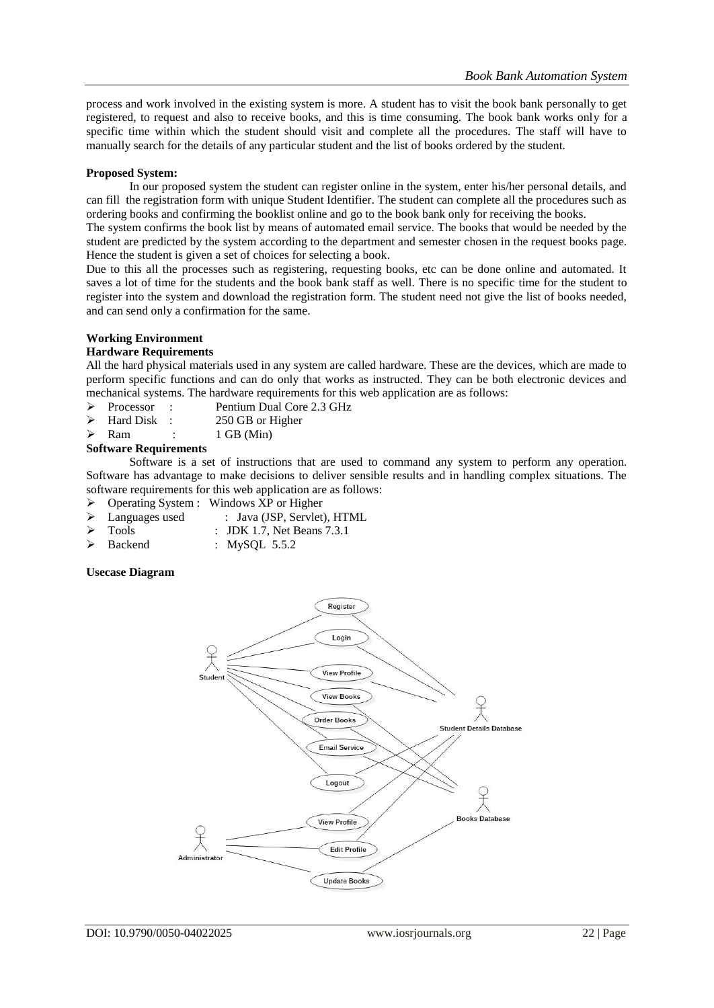process and work involved in the existing system is more. A student has to visit the book bank personally to get registered, to request and also to receive books, and this is time consuming. The book bank works only for a specific time within which the student should visit and complete all the procedures. The staff will have to manually search for the details of any particular student and the list of books ordered by the student.

## **Proposed System:**

In our proposed system the student can register online in the system, enter his/her personal details, and can fill the registration form with unique Student Identifier. The student can complete all the procedures such as ordering books and confirming the booklist online and go to the book bank only for receiving the books.

The system confirms the book list by means of automated email service. The books that would be needed by the student are predicted by the system according to the department and semester chosen in the request books page. Hence the student is given a set of choices for selecting a book.

Due to this all the processes such as registering, requesting books, etc can be done online and automated. It saves a lot of time for the students and the book bank staff as well. There is no specific time for the student to register into the system and download the registration form. The student need not give the list of books needed, and can send only a confirmation for the same.

# **Working Environment**

### **Hardware Requirements**

All the hard physical materials used in any system are called hardware. These are the devices, which are made to perform specific functions and can do only that works as instructed. They can be both electronic devices and mechanical systems. The hardware requirements for this web application are as follows:

- Processor : Pentium Dual Core 2.3 GHz
- $\triangleright$  Hard Disk : 250 GB or Higher
- $\triangleright$  Ram : 1 GB (Min)

### **Software Requirements**

Software is a set of instructions that are used to command any system to perform any operation. Software has advantage to make decisions to deliver sensible results and in handling complex situations. The software requirements for this web application are as follows:

- Operating System : Windows XP or Higher
- > Languages used : Java (JSP, Servlet), HTML
	- Tools : JDK 1.7, Net Beans 7.3.1
- Backend : MySQL 5.5.2

## **Usecase Diagram**

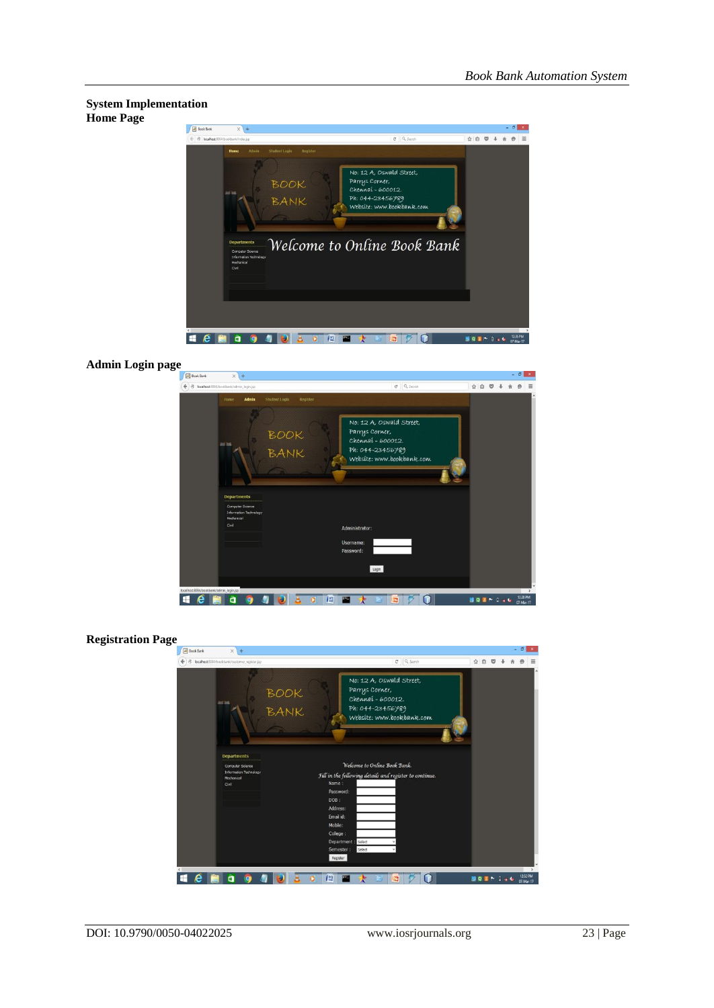



**Admin Login page**



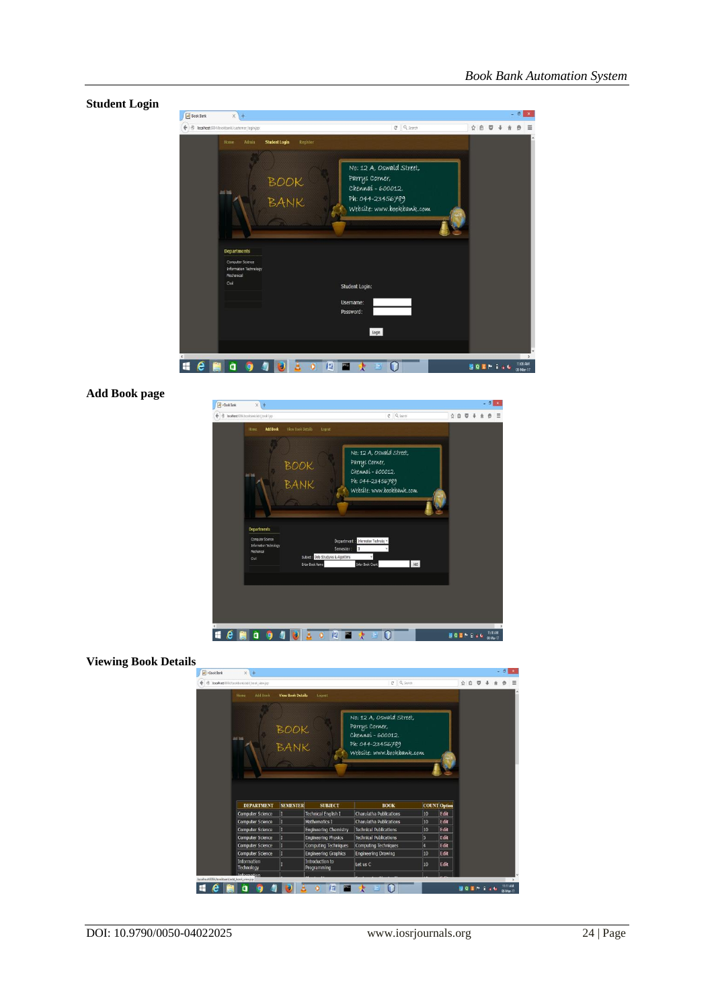

# **Add Book page**

| <b>A</b> >Book Bank<br>$\times$<br>$\ddot{}$                                            |                                                                                                                                                |     |                |  | $-5x$                |  |
|-----------------------------------------------------------------------------------------|------------------------------------------------------------------------------------------------------------------------------------------------|-----|----------------|--|----------------------|--|
| 48<br>localhost 9084/bookbank/add_book1.jsp                                             | $C = Q$ Search                                                                                                                                 | ☆ 自 | U              |  |                      |  |
| <b>Add Book</b><br>View Book Details<br>Home                                            | Logout                                                                                                                                         |     |                |  |                      |  |
| <b>BOOK</b><br>ad ha<br>BANK                                                            | No: 12 A, Oswald Street,<br>Parrys Corner,<br>Chennai - 600012.<br>Ph: 044-23456789<br>Website: www.bookbank.com                               |     |                |  |                      |  |
| <b>Departments</b><br>Computer Science<br>Information Technology<br>Mechanical<br>Civil | Department : Information Technolog v<br>Semester:<br>I<br>Subject a Data Structures & Algorithms<br>Add<br>Enter Book Count<br>Enter Book Name |     |                |  |                      |  |
|                                                                                         |                                                                                                                                                |     |                |  |                      |  |
| H<br>e<br>ã                                                                             | 修<br><b>COM</b>                                                                                                                                |     | <b>NOWHOOD</b> |  | TE10 AM<br>08-Mar-17 |  |

# **Viewing Book Details**

| Add Book<br><b>View Book Details</b><br>Home<br>Logout<br>No: 12 A, Oswald Street,<br>Parrys Corner,<br>BOOK<br>BANK<br>Chennai - 600012.<br>$245$ 245<br>Ph: 044-23456789<br>Website: www.bookbank.com |
|---------------------------------------------------------------------------------------------------------------------------------------------------------------------------------------------------------|
|                                                                                                                                                                                                         |
| <b>DEPARTMENT</b><br><b>SEMESTER</b><br><b>SUBJECT</b>                                                                                                                                                  |
| п<br><b>Charulatha Publications</b><br><b>Technical English I</b><br><b>Computer Science</b>                                                                                                            |
| п<br><b>Mathematics I</b><br><b>Charulatha Publications</b><br><b>Computer Science</b>                                                                                                                  |
| П<br><b>Technical Publications</b><br><b>Computer Science</b><br><b>Engineering Chemistry</b>                                                                                                           |
| п<br><b>Technical Publications</b><br><b>Computer Science</b><br><b>Engineering Physics</b>                                                                                                             |
|                                                                                                                                                                                                         |
|                                                                                                                                                                                                         |
| п<br><b>Computer Science</b><br><b>Computing Techniques</b><br><b>Computing Techniques</b><br>Л<br><b>Computer Science</b><br><b>Engineering Drawing</b><br><b>Engineering Graphics</b>                 |